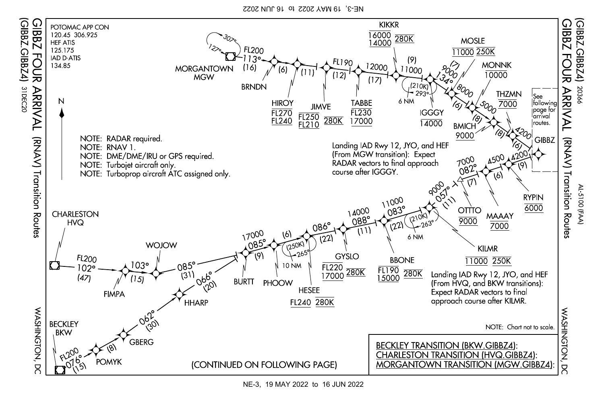NE-3, 19 MAY 2022 to 16 JUN 2022



NE-3, 19 MAY 2022 to 16 JUN 2022